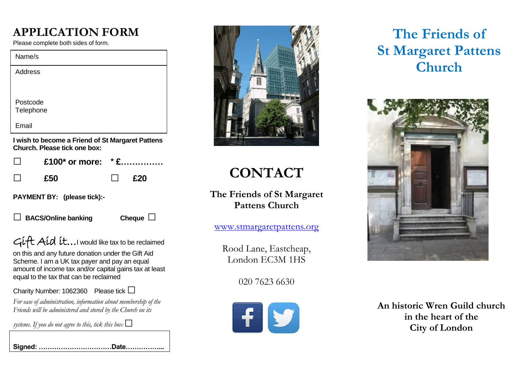### **APPLICATION FORM**

Please complete both sides of form.

| Name/s                         |
|--------------------------------|
| <b>Address</b>                 |
|                                |
| Postcode                       |
| Telephone                      |
| Email                          |
| .<br>. .<br>.<br>$\sim$ $\sim$ |

**I wish to become a Friend of St Margaret Pattens Church. Please tick one box:** 

|            | $\Box$ £100* or more: *£ |  |                |
|------------|--------------------------|--|----------------|
| $\Box$ £50 |                          |  | $\blacksquare$ |

**PAYMENT BY: (please tick):-** 

**□ BACS/Online banking Cheque □**

Gift Aid it...I would like tax to be reclaimed

on this and any future donation under the Gift Aid Scheme. I am a UK tax payer and pay an equal amount of income tax and/or capital gains tax at least equal to the tax that can be reclaimed

Charity Number: 1062360 Please tick **□**

*For ease of administration, information about membership of the Friends will be administered and stored by the Church on its* 

systems. If you do not agree to this, tick this box  $\Box$ 



# **CONTACT**

**The Friends of St Margaret Pattens Church** 

[www.stmargaretpattens.org](http://www.stmargaretpattens.org/)

Rood Lane, Eastcheap, London EC3M 1HS

020 7623 6630



## **The Friends of St Margaret Pattens Church**



**An historic Wren Guild church in the heart of the City of London**